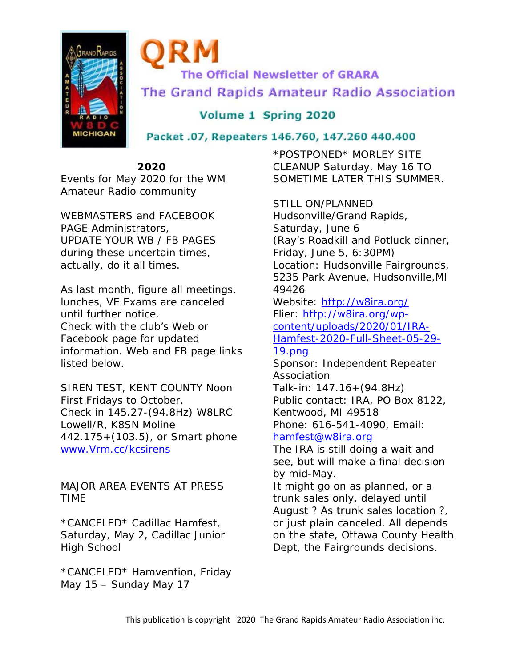

**The Official Newsletter of GRARA** The Grand Rapids Amateur Radio Association

Volume 1 Spring 2020

Packet .07, Repeaters 146.760, 147.260 440.400

**2020** 

Events for May 2020 for the WM Amateur Radio community

WEBMASTERS and FACEBOOK PAGE Administrators, UPDATE YOUR WB / FB PAGES during these uncertain times, actually, do it all times.

As last month, figure all meetings, lunches, VE Exams are canceled until further notice. Check with the club's Web or Facebook page for updated information. Web and FB page links listed below.

SIREN TEST, KENT COUNTY Noon First Fridays to October. Check in 145.27-(94.8Hz) W8LRC Lowell/R, K8SN Moline 442.175+(103.5), or Smart phone www.Vrm.cc/kcsirens

MAJOR AREA EVENTS AT PRESS TIME

\*CANCELED\* Cadillac Hamfest, Saturday, May 2, Cadillac Junior High School

\*CANCELED\* Hamvention, Friday May 15 – Sunday May 17

\*POSTPONED\* MORLEY SITE CLEANUP Saturday, May 16 TO SOMETIME LATER THIS SUMMER.

STILL ON/PLANNED Hudsonville/Grand Rapids, Saturday, June 6 (Ray's Roadkill and Potluck dinner, Friday, June 5, 6:30PM) Location: Hudsonville Fairgrounds, 5235 Park Avenue, Hudsonville,MI 49426 Website: http://w8ira.org/

Flier: http://w8ira.org/wpcontent/uploads/2020/01/IRA-Hamfest-2020-Full-Sheet-05-29-

## 19.png

Sponsor: Independent Repeater Association Talk-in: 147.16+(94.8Hz) Public contact: IRA, PO Box 8122, Kentwood, MI 49518 Phone: 616-541-4090, Email:

## hamfest@w8ira.org

The IRA is still doing a wait and see, but will make a final decision by mid-May.

It might go on as planned, or a trunk sales only, delayed until August ? As trunk sales location ?, or just plain canceled. All depends on the state, Ottawa County Health Dept, the Fairgrounds decisions.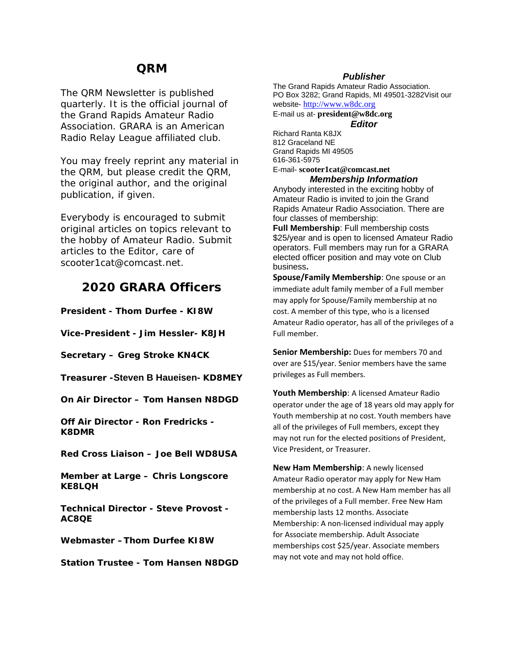## **QRM**

The QRM Newsletter is published quarterly. It is the official journal of the Grand Rapids Amateur Radio Association. GRARA is an American Radio Relay League affiliated club.

You may freely reprint any material in the QRM, but please credit the QRM, the original author, and the original publication, if given.

Everybody is encouraged to submit original articles on topics relevant to the hobby of Amateur Radio. Submit articles to the Editor, care of scooter1cat@comcast.net.

## **2020 GRARA Officers**

**President - Thom Durfee - KI8W** 

**Vice-President - Jim Hessler- K8JH** 

**Secretary – Greg Stroke KN4CK** 

**Treasurer -Steven B Haueisen- KD8MEY** 

**On Air Director – Tom Hansen N8DGD** 

**Off Air Director - Ron Fredricks - K8DMR** 

**Red Cross Liaison – Joe Bell WD8USA** 

**Member at Large – Chris Longscore KE8LQH** 

**Technical Director - Steve Provost - AC8QE** 

**Webmaster –Thom Durfee KI8W** 

**Station Trustee - Tom Hansen N8DGD**

#### *Publisher*

The Grand Rapids Amateur Radio Association. PO Box 3282; Grand Rapids, MI 49501-3282Visit our website- http://www.w8dc.org E-mail us at- **president@w8dc.org**

*Editor* 

Richard Ranta K8JX 812 Graceland NE Grand Rapids MI 49505 616-361-5975 E-mail- **scooter1cat@comcast.net**

#### *Membership Information*

Anybody interested in the exciting hobby of Amateur Radio is invited to join the Grand Rapids Amateur Radio Association. There are four classes of membership:

**Full Membership**: Full membership costs \$25/year and is open to licensed Amateur Radio operators. Full members may run for a GRARA elected officer position and may vote on Club business**.** 

**Spouse/Family Membership**: One spouse or an immediate adult family member of a Full member may apply for Spouse/Family membership at no cost. A member of this type, who is a licensed Amateur Radio operator, has all of the privileges of a Full member.

**Senior Membership:** Dues for members 70 and over are \$15/year. Senior members have the same privileges as Full members.

**Youth Membership**: A licensed Amateur Radio operator under the age of 18 years old may apply for Youth membership at no cost. Youth members have all of the privileges of Full members, except they may not run for the elected positions of President, Vice President, or Treasurer.

**New Ham Membership**: A newly licensed Amateur Radio operator may apply for New Ham membership at no cost. A New Ham member has all of the privileges of a Full member. Free New Ham membership lasts 12 months. Associate Membership: A non‐licensed individual may apply for Associate membership. Adult Associate memberships cost \$25/year. Associate members may not vote and may not hold office.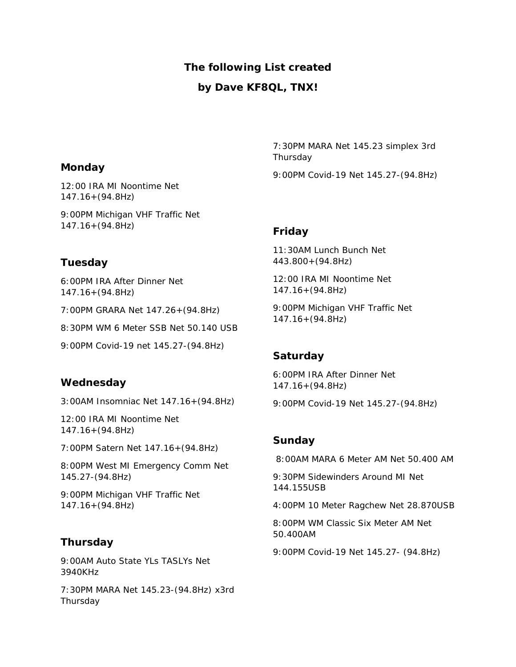## **The following List created**

## **by Dave KF8QL, TNX!**

**Monday**

12:00 IRA MI Noontime Net 147.16+(94.8Hz)

9:00PM Michigan VHF Traffic Net 147.16+(94.8Hz)

## **Tuesday**

6:00PM IRA After Dinner Net 147.16+(94.8Hz)

7:00PM GRARA Net 147.26+(94.8Hz)

8:30PM WM 6 Meter SSB Net 50.140 USB

9:00PM Covid-19 net 145.27-(94.8Hz)

## **Wednesday**

3:00AM Insomniac Net 147.16+(94.8Hz)

12:00 IRA MI Noontime Net 147.16+(94.8Hz)

7:00PM Satern Net 147.16+(94.8Hz)

8:00PM West MI Emergency Comm Net 145.27-(94.8Hz)

9:00PM Michigan VHF Traffic Net 147.16+(94.8Hz)

## **Thursday**

9:00AM Auto State YLs TASLYs Net 3940KHz

7:30PM MARA Net 145.23-(94.8Hz) x3rd **Thursday** 

7:30PM MARA Net 145.23 simplex 3rd Thursday

9:00PM Covid-19 Net 145.27-(94.8Hz)

## **Friday**

11:30AM Lunch Bunch Net 443.800+(94.8Hz)

12:00 IRA MI Noontime Net 147.16+(94.8Hz)

9:00PM Michigan VHF Traffic Net 147.16+(94.8Hz)

## **Saturday**

6:00PM IRA After Dinner Net 147.16+(94.8Hz)

9:00PM Covid-19 Net 145.27-(94.8Hz)

## **Sunday**

8:00AM MARA 6 Meter AM Net 50.400 AM

9:30PM Sidewinders Around MI Net 144.155USB

4:00PM 10 Meter Ragchew Net 28.870USB

8:00PM WM Classic Six Meter AM Net 50.400AM

9:00PM Covid-19 Net 145.27- (94.8Hz)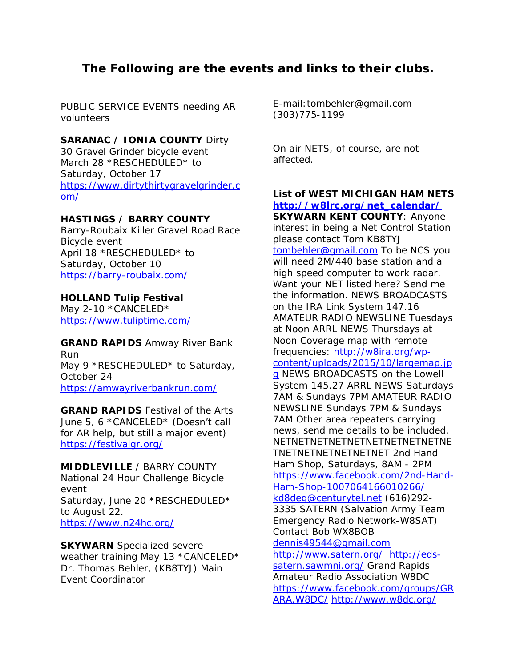# **The Following are the events and links to their clubs.**

PUBLIC SERVICE EVENTS needing AR volunteers

### **SARANAC / IONIA COUNTY** Dirty

30 Gravel Grinder bicycle event March 28 \*RESCHEDULED\* to Saturday, October 17 https://www.dirtythirtygravelgrinder.c om/

### **HASTINGS / BARRY COUNTY**

Barry-Roubaix Killer Gravel Road Race Bicycle event April 18 \*RESCHEDULED\* to Saturday, October 10 https://barry-roubaix.com/

#### **HOLLAND Tulip Festival**

May 2-10 \*CANCELED\* https://www.tuliptime.com/

**GRAND RAPIDS** Amway River Bank Run May 9 \*RESCHEDULED\* to Saturday, October 24 https://amwayriverbankrun.com/

**GRAND RAPIDS** Festival of the Arts June 5, 6 \*CANCELED\* (Doesn't call for AR help, but still a major event) https://festivalgr.org/

**MIDDLEVILLE** / BARRY COUNTY National 24 Hour Challenge Bicycle event Saturday, June 20 \*RESCHEDULED\* to August 22. https://www.n24hc.org/

**SKYWARN** Specialized severe weather training May 13 \*CANCELED\* Dr. Thomas Behler, (KB8TYJ) Main Event Coordinator

E-mail:tombehler@gmail.com (303)775-1199

On air NETS, of course, are not affected.

## **List of WEST MICHIGAN HAM NETS http://w8lrc.org/net\_calendar/**

**SKYWARN KENT COUNTY**: Anyone interest in being a Net Control Station please contact Tom KB8TYJ tombehler@gmail.com To be NCS you will need 2M/440 base station and a high speed computer to work radar. Want your NET listed here? Send me the information. NEWS BROADCASTS on the IRA Link System 147.16 AMATEUR RADIO NEWSLINE Tuesdays at Noon ARRL NEWS Thursdays at Noon Coverage map with remote frequencies: http://w8ira.org/wpcontent/uploads/2015/10/largemap.jp g NEWS BROADCASTS on the Lowell System 145.27 ARRL NEWS Saturdays 7AM & Sundays 7PM AMATEUR RADIO NEWSLINE Sundays 7PM & Sundays 7AM Other area repeaters carrying news, send me details to be included. NETNETNETNETNETNETNETNETNETNE TNETNETNETNETNETNET 2nd Hand Ham Shop, Saturdays, 8AM - 2PM https://www.facebook.com/2nd-Hand-Ham-Shop-1007064166010266/ kd8deg@centurytel.net (616)292- 3335 SATERN (Salvation Army Team Emergency Radio Network-W8SAT) Contact Bob WX8BOB dennis49544@gmail.com http://www.satern.org/ http://edssatern.sawmni.org/ Grand Rapids Amateur Radio Association W8DC https://www.facebook.com/groups/GR ARA.W8DC/ http://www.w8dc.org/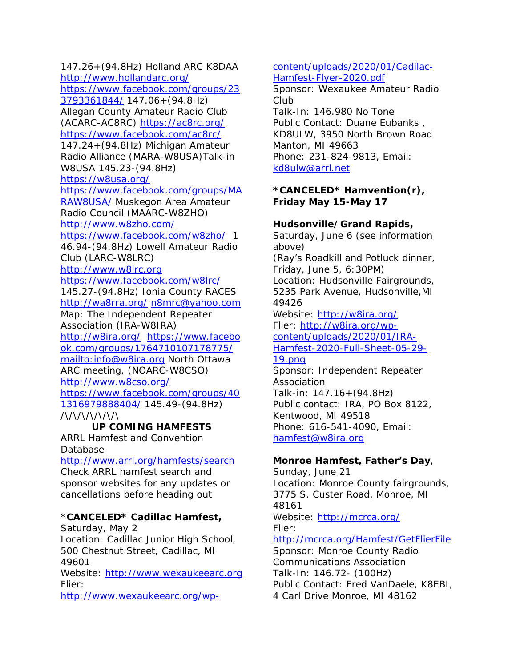147.26+(94.8Hz) Holland ARC K8DAA http://www.hollandarc.org/ https://www.facebook.com/groups/23 3793361844/ 147.06+(94.8Hz) Allegan County Amateur Radio Club (ACARC-AC8RC) https://ac8rc.org/ https://www.facebook.com/ac8rc/ 147.24+(94.8Hz) Michigan Amateur Radio Alliance (MARA-W8USA)Talk-in W8USA 145.23-(94.8Hz) https://w8usa.org/ https://www.facebook.com/groups/MA RAW8USA/ Muskegon Area Amateur Radio Council (MAARC-W8ZHO) http://www.w8zho.com/ https://www.facebook.com/w8zho/ 1 46.94-(94.8Hz) Lowell Amateur Radio Club (LARC-W8LRC) http://www.w8lrc.org https://www.facebook.com/w8lrc/ 145.27-(94.8Hz) Ionia County RACES http://wa8rra.org/ n8mrc@yahoo.com Map: The Independent Repeater Association (IRA-W8IRA) http://w8ira.org/ https://www.facebo ok.com/groups/1764710107178775/ mailto:info@w8ira.org North Ottawa ARC meeting, (NOARC-W8CSO) http://www.w8cso.org/ https://www.facebook.com/groups/40 1316979888404/ 145.49-(94.8Hz) /\/\/\/\/\/\/\ **UP COMING HAMFESTS**  ARRL Hamfest and Convention

Database

http://www.arrl.org/hamfests/search Check ARRL hamfest search and sponsor websites for any updates or cancellations before heading out

## \***CANCELED\* Cadillac Hamfest,**

Saturday, May 2 Location: Cadillac Junior High School, 500 Chestnut Street, Cadillac, MI 49601 Website: http://www.wexaukeearc.org Flier:

http://www.wexaukeearc.org/wp-

content/uploads/2020/01/Cadilac-Hamfest-Flyer-2020.pdf

Sponsor: Wexaukee Amateur Radio Club

Talk-In: 146.980 No Tone Public Contact: Duane Eubanks , KD8ULW, 3950 North Brown Road Manton, MI 49663 Phone: 231-824-9813, Email: kd8ulw@arrl.net

## **\*CANCELED\* Hamvention(r), Friday May 15-May 17**

## **Hudsonville/Grand Rapids,**

Saturday, June 6 (see information above)

(Ray's Roadkill and Potluck dinner, Friday, June 5, 6:30PM) Location: Hudsonville Fairgrounds, 5235 Park Avenue, Hudsonville,MI 49426

Website: http://w8ira.org/ Flier: http://w8ira.org/wpcontent/uploads/2020/01/IRA-Hamfest-2020-Full-Sheet-05-29-

# 19.png

Sponsor: Independent Repeater Association Talk-in: 147.16+(94.8Hz) Public contact: IRA, PO Box 8122, Kentwood, MI 49518 Phone: 616-541-4090, Email: hamfest@w8ira.org

# **Monroe Hamfest, Father's Day**,

Sunday, June 21 Location: Monroe County fairgrounds, 3775 S. Custer Road, Monroe, MI 48161 Website: http://mcrca.org/ Flier: http://mcrca.org/Hamfest/GetFlierFile Sponsor: Monroe County Radio Communications Association

Talk-In: 146.72- (100Hz) Public Contact: Fred VanDaele, K8EBI, 4 Carl Drive Monroe, MI 48162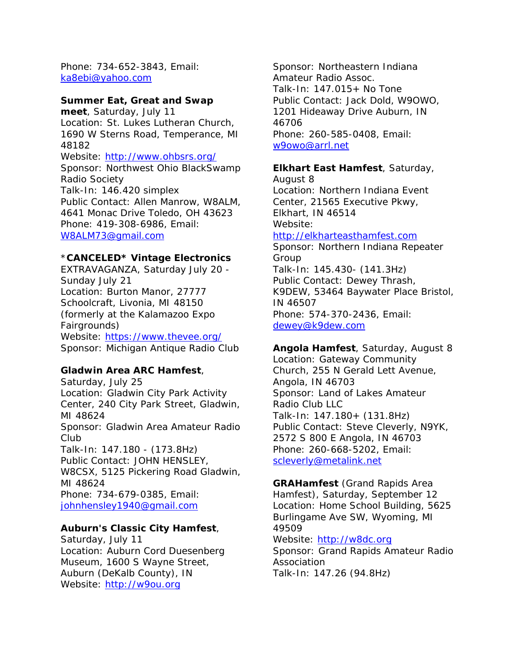Phone: 734-652-3843, Email: ka8ebi@yahoo.com

#### **Summer Eat, Great and Swap**

**meet**, Saturday, July 11 Location: St. Lukes Lutheran Church, 1690 W Sterns Road, Temperance, MI 48182 Website: http://www.ohbsrs.org/ Sponsor: Northwest Ohio BlackSwamp Radio Society Talk-In: 146.420 simplex Public Contact: Allen Manrow, W8ALM, 4641 Monac Drive Toledo, OH 43623 Phone: 419-308-6986, Email: W8ALM73@gmail.com

#### \***CANCELED\* Vintage Electronics**

EXTRAVAGANZA, Saturday July 20 - Sunday July 21 Location: Burton Manor, 27777 Schoolcraft, Livonia, MI 48150 (formerly at the Kalamazoo Expo Fairgrounds) Website: https://www.thevee.org/ Sponsor: Michigan Antique Radio Club

#### **Gladwin Area ARC Hamfest**,

Saturday, July 25 Location: Gladwin City Park Activity Center, 240 City Park Street, Gladwin, MI 48624 Sponsor: Gladwin Area Amateur Radio Club Talk-In: 147.180 - (173.8Hz) Public Contact: JOHN HENSLEY, W8CSX, 5125 Pickering Road Gladwin, MI 48624 Phone: 734-679-0385, Email: johnhensley1940@gmail.com

#### **Auburn's Classic City Hamfest**,

Saturday, July 11 Location: Auburn Cord Duesenberg Museum, 1600 S Wayne Street, Auburn (DeKalb County), IN Website: http://w9ou.org

Sponsor: Northeastern Indiana Amateur Radio Assoc. Talk-In: 147.015+ No Tone Public Contact: Jack Dold, W9OWO, 1201 Hideaway Drive Auburn, IN 46706 Phone: 260-585-0408, Email: w9owo@arrl.net

#### **Elkhart East Hamfest**, Saturday,

August 8 Location: Northern Indiana Event Center, 21565 Executive Pkwy, Elkhart, IN 46514 Website:

### http://elkharteasthamfest.com

Sponsor: Northern Indiana Repeater Group Talk-In: 145.430- (141.3Hz) Public Contact: Dewey Thrash, K9DEW, 53464 Baywater Place Bristol, IN 46507 Phone: 574-370-2436, Email: dewey@k9dew.com

#### **Angola Hamfest**, Saturday, August 8

Location: Gateway Community Church, 255 N Gerald Lett Avenue, Angola, IN 46703 Sponsor: Land of Lakes Amateur Radio Club LLC Talk-In: 147.180+ (131.8Hz) Public Contact: Steve Cleverly, N9YK, 2572 S 800 E Angola, IN 46703 Phone: 260-668-5202, Email: scleverly@metalink.net

#### **GRAHamfest** (Grand Rapids Area Hamfest), Saturday, September 12 Location: Home School Building, 5625 Burlingame Ave SW, Wyoming, MI 49509 Website: http://w8dc.org Sponsor: Grand Rapids Amateur Radio Association

Talk-In: 147.26 (94.8Hz)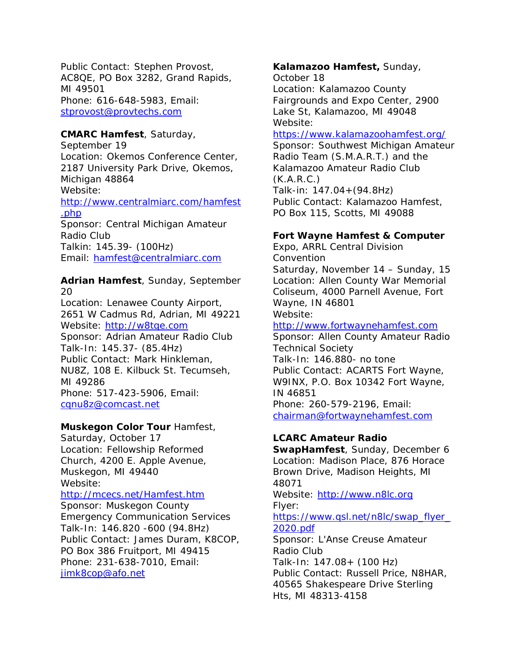Public Contact: Stephen Provost, AC8QE, PO Box 3282, Grand Rapids, MI 49501 Phone: 616-648-5983, Email: stprovost@provtechs.com

#### **CMARC Hamfest**, Saturday,

September 19 Location: Okemos Conference Center, 2187 University Park Drive, Okemos, Michigan 48864 Website: http://www.centralmiarc.com/hamfest .php Sponsor: Central Michigan Amateur Radio Club Talkin: 145.39- (100Hz) Email: hamfest@centralmiarc.com

**Adrian Hamfest**, Sunday, September 20 Location: Lenawee County Airport, 2651 W Cadmus Rd, Adrian, MI 49221 Website: http://w8tqe.com Sponsor: Adrian Amateur Radio Club Talk-In: 145.37- (85.4Hz) Public Contact: Mark Hinkleman, NU8Z, 108 E. Kilbuck St. Tecumseh, MI 49286 Phone: 517-423-5906, Email: cqnu8z@comcast.net

#### **Muskegon Color Tour** Hamfest,

Saturday, October 17 Location: Fellowship Reformed Church, 4200 E. Apple Avenue, Muskegon, MI 49440 Website:

#### http://mcecs.net/Hamfest.htm

Sponsor: Muskegon County Emergency Communication Services Talk-In: 146.820 -600 (94.8Hz) Public Contact: James Duram, K8COP, PO Box 386 Fruitport, MI 49415 Phone: 231-638-7010, Email: jimk8cop@afo.net

## **Kalamazoo Hamfest,** Sunday,

October 18 Location: Kalamazoo County Fairgrounds and Expo Center, 2900 Lake St, Kalamazoo, MI 49048 Website:

#### https://www.kalamazoohamfest.org/

Sponsor: Southwest Michigan Amateur Radio Team (S.M.A.R.T.) and the Kalamazoo Amateur Radio Club (K.A.R.C.) Talk-in: 147.04+(94.8Hz) Public Contact: Kalamazoo Hamfest,

PO Box 115, Scotts, MI 49088

#### **Fort Wayne Hamfest & Computer**

Expo, ARRL Central Division Convention Saturday, November 14 – Sunday, 15 Location: Allen County War Memorial Coliseum, 4000 Parnell Avenue, Fort Wayne, IN 46801 Website:

#### http://www.fortwaynehamfest.com

Sponsor: Allen County Amateur Radio Technical Society Talk-In: 146.880- no tone Public Contact: ACARTS Fort Wayne, W9INX, P.O. Box 10342 Fort Wayne, IN 46851 Phone: 260-579-2196, Email: chairman@fortwaynehamfest.com

#### **LCARC Amateur Radio**

**SwapHamfest**, Sunday, December 6 Location: Madison Place, 876 Horace Brown Drive, Madison Heights, MI 48071 Website: http://www.n8lc.org

Flyer:

#### https://www.qsl.net/n8lc/swap\_flyer\_ 2020.pdf

Sponsor: L'Anse Creuse Amateur Radio Club Talk-In: 147.08+ (100 Hz) Public Contact: Russell Price, N8HAR, 40565 Shakespeare Drive Sterling Hts, MI 48313-4158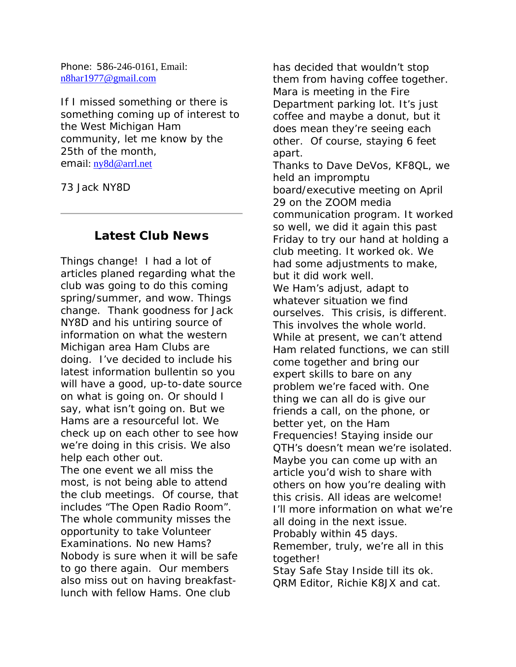Phone: 586-246-0161, Email: n8har1977@gmail.com

If I missed something or there is something coming up of interest to the West Michigan Ham community, let me know by the 25th of the month, email: ny8d@arrl.net

73 Jack NY8D

## **Latest Club News**

Things change! I had a lot of articles planed regarding what the club was going to do this coming spring/summer, and wow. Things change. Thank goodness for Jack NY8D and his untiring source of information on what the western Michigan area Ham Clubs are doing. I've decided to include his latest information bullentin so you will have a good, up-to-date source on what is going on. Or should I say, what isn't going on. But we Hams are a resourceful lot. We check up on each other to see how we're doing in this crisis. We also help each other out.

The one event we all miss the most, is not being able to attend the club meetings. Of course, that includes "The Open Radio Room". The whole community misses the opportunity to take Volunteer Examinations. No new Hams? Nobody is sure when it will be safe to go there again. Our members also miss out on having breakfastlunch with fellow Hams. One club

has decided that wouldn't stop them from having coffee together. Mara is meeting in the Fire Department parking lot. It's just coffee and maybe a donut, but it does mean they're seeing each other. Of course, staying 6 feet apart. Thanks to Dave DeVos, KF8QL, we held an impromptu board/executive meeting on April 29 on the ZOOM media communication program. It worked so well, we did it again this past Friday to try our hand at holding a club meeting. It worked ok. We had some adjustments to make, but it did work well. We Ham's adjust, adapt to whatever situation we find ourselves. This crisis, is different. This involves the whole world. While at present, we can't attend Ham related functions, we can still come together and bring our expert skills to bare on any problem we're faced with. One thing we can all do is give our friends a call, on the phone, or better yet, on the Ham Frequencies! Staying inside our QTH's doesn't mean we're isolated. Maybe you can come up with an article you'd wish to share with others on how you're dealing with this crisis. All ideas are welcome! I'll more information on what we're all doing in the next issue. Probably within 45 days. Remember, truly, we're all in this together! Stay Safe Stay Inside till its ok. QRM Editor, Richie K8JX and cat.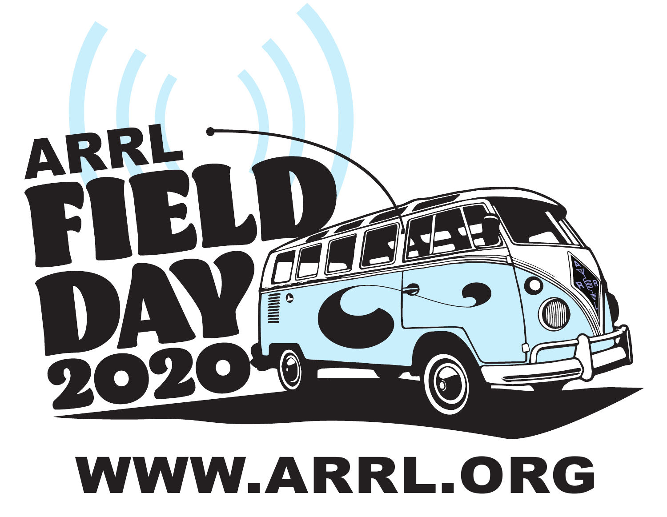

#### WWW.ARRL.ORG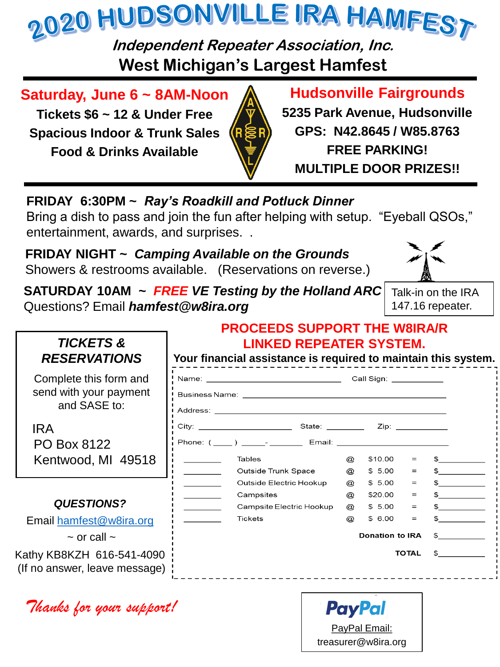

**Independent Repeater Association, Inc. West Michigan's Largest Hamfest**

**Saturday, June 6 ~ 8AM-Noon**

**Tickets \$6 ~ 12 & Under Free Spacious Indoor & Trunk Sales Food & Drinks Available**



# **Hudsonville Fairgrounds**

**5235 Park Avenue, Hudsonville GPS: N42.8645 / W85.8763 FREE PARKING! MULTIPLE DOOR PRIZES!!**

**FRIDAY 6:30PM ~** *Ray's Roadkill and Potluck Dinner* 

Bring a dish to pass and join the fun after helping with setup. "Eyeball QSOs," entertainment, awards, and surprises. .

**FRIDAY NIGHT ~** *Camping Available on the Grounds* Showers & restrooms available. (Reservations on reverse.)



**SATURDAY 10AM ~** *FREE VE Testing by the Holland ARC* Questions? Email *hamfest@w8ira.org*

Talk-in on the IRA 147.16 repeater.

| <b>TICKETS &amp;</b><br><b>RESERVATIONS</b>                      |  | <b>LINKED REPEATER SYSTEM.</b><br>Your financial assistance is required to maintain this system. |                            |                  |              |                        |
|------------------------------------------------------------------|--|--------------------------------------------------------------------------------------------------|----------------------------|------------------|--------------|------------------------|
| Complete this form and<br>send with your payment<br>and SASE to: |  |                                                                                                  |                            |                  |              |                        |
| <b>IRA</b><br>PO Box 8122                                        |  |                                                                                                  |                            |                  |              |                        |
| Kentwood, MI 49518                                               |  | Tables                                                                                           | $\varpi$                   | \$10.00          | $=$          | $\sim$                 |
|                                                                  |  | Outside Trunk Space                                                                              | @                          | \$5.00           | $=$          | $\mathbb{S}$           |
|                                                                  |  | Outside Electric Hookup                                                                          | $^{\textregistered}$       | \$5.00           | $=$          | $\frac{1}{\sqrt{2}}$   |
| <b>QUESTIONS?</b>                                                |  | Campsites                                                                                        | @                          | \$20.00          | $=$          | $\mathbb{S}$           |
| Email hamfest@w8ira.org                                          |  | Campsite Electric Hookup<br><b>Tickets</b>                                                       | $^{\circledR}$<br>$\varpi$ | \$5.00<br>\$6.00 | $=$<br>$=$   | $\sim$<br>$\mathbb{S}$ |
| $\sim$ or call $\sim$                                            |  | <b>Donation to IRA</b><br>$\mathbb{S}$                                                           |                            |                  |              |                        |
| Kathy KB8KZH 616-541-4090<br>(If no answer, leave message)       |  |                                                                                                  |                            |                  | <b>TOTAL</b> | $\mathbb{S}$           |

*Thanks for your support!*